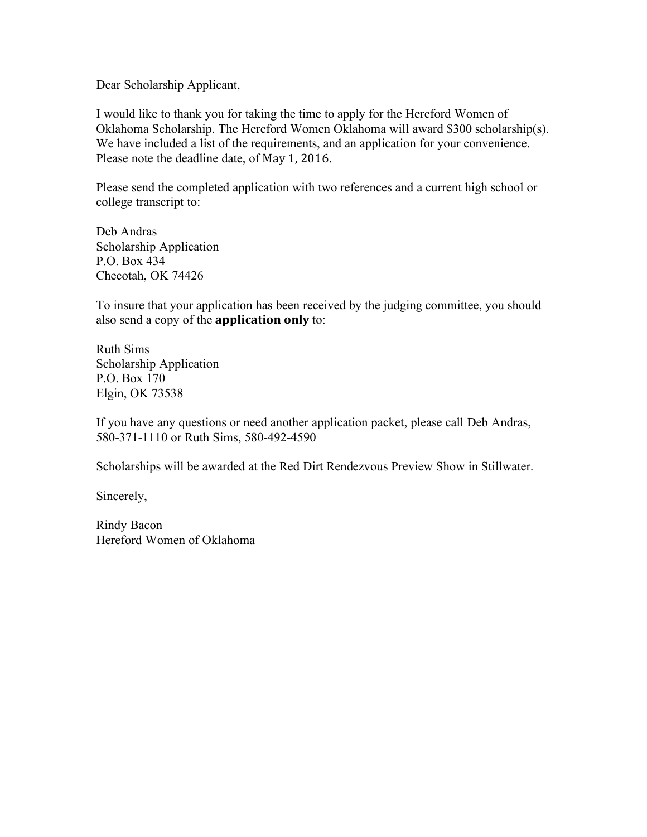Dear Scholarship Applicant,

I would like to thank you for taking the time to apply for the Hereford Women of Oklahoma Scholarship. The Hereford Women Oklahoma will award \$300 scholarship(s). We have included a list of the requirements, and an application for your convenience. Please note the deadline date, of May 1, 2016.

Please send the completed application with two references and a current high school or college transcript to:

Deb Andras Scholarship Application P.O. Box 434 Checotah, OK 74426

To insure that your application has been received by the judging committee, you should also send a copy of the **application only** to:

Ruth Sims Scholarship Application P.O. Box 170 Elgin, OK 73538

If you have any questions or need another application packet, please call Deb Andras, 580-371-1110 or Ruth Sims, 580-492-4590

Scholarships will be awarded at the Red Dirt Rendezvous Preview Show in Stillwater.

Sincerely,

Rindy Bacon Hereford Women of Oklahoma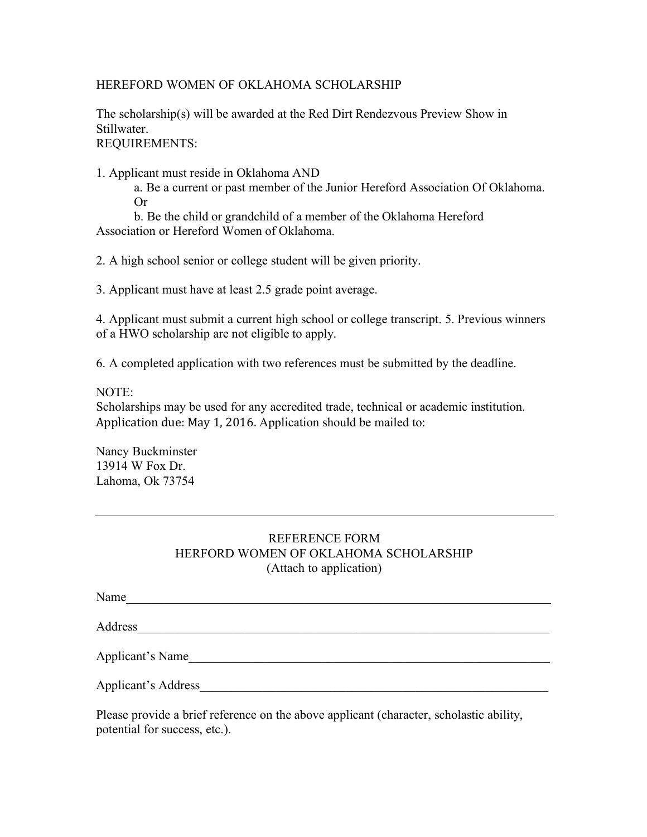## HEREFORD WOMEN OF OKLAHOMA SCHOLARSHIP

The scholarship(s) will be awarded at the Red Dirt Rendezvous Preview Show in Stillwater. REQUIREMENTS:

1. Applicant must reside in Oklahoma AND

a. Be a current or past member of the Junior Hereford Association Of Oklahoma. Or

b. Be the child or grandchild of a member of the Oklahoma Hereford Association or Hereford Women of Oklahoma.

2. A high school senior or college student will be given priority.

3. Applicant must have at least 2.5 grade point average.

4. Applicant must submit a current high school or college transcript. 5. Previous winners of a HWO scholarship are not eligible to apply.

6. A completed application with two references must be submitted by the deadline.

## NOTE:

Scholarships may be used for any accredited trade, technical or academic institution. Application due: May 1, 2016. Application should be mailed to:

Nancy Buckminster 13914 W Fox Dr. Lahoma, Ok 73754

## REFERENCE FORM HERFORD WOMEN OF OKLAHOMA SCHOLARSHIP (Attach to application)

Name\_\_\_\_\_\_\_\_\_\_\_\_\_\_\_\_\_\_\_\_\_\_\_\_\_\_\_\_\_\_\_\_\_\_\_\_\_\_\_\_\_\_\_\_\_\_\_\_\_\_\_\_\_\_\_\_\_\_\_\_\_\_\_\_\_\_\_

Address

Applicant's Name

Applicant's Address

Please provide a brief reference on the above applicant (character, scholastic ability, potential for success, etc.).